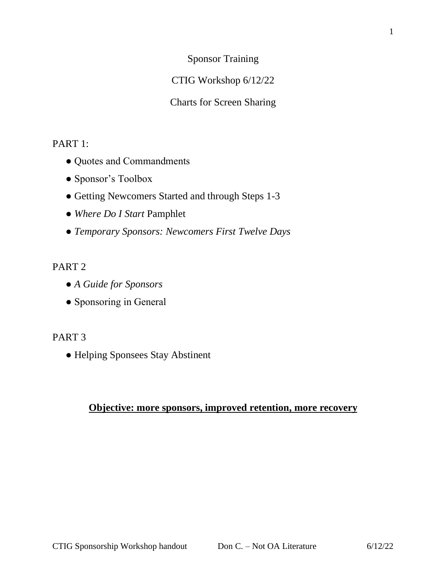Sponsor Training

# CTIG Workshop 6/12/22

Charts for Screen Sharing

# PART 1:

- Quotes and Commandments
- Sponsor's Toolbox
- Getting Newcomers Started and through Steps 1-3
- *Where Do I Start* Pamphlet
- *Temporary Sponsors: Newcomers First Twelve Days*

# PART 2

- *A Guide for Sponsors*
- Sponsoring in General

# PART 3

● Helping Sponsees Stay Abstinent

# **Objective: more sponsors, improved retention, more recovery**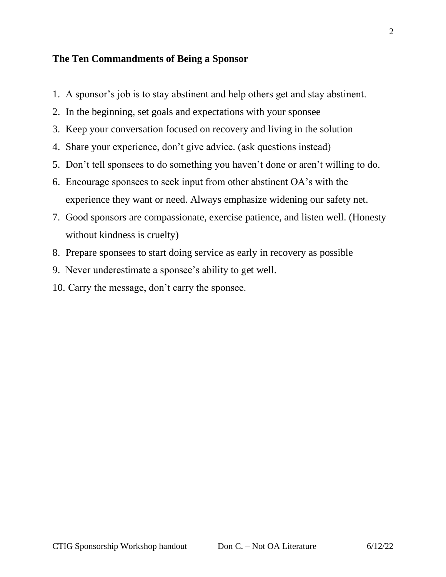### **The Ten Commandments of Being a Sponsor**

- 1. A sponsor's job is to stay abstinent and help others get and stay abstinent.
- 2. In the beginning, set goals and expectations with your sponsee
- 3. Keep your conversation focused on recovery and living in the solution
- 4. Share your experience, don't give advice. (ask questions instead)
- 5. Don't tell sponsees to do something you haven't done or aren't willing to do.
- 6. Encourage sponsees to seek input from other abstinent OA's with the experience they want or need. Always emphasize widening our safety net.
- 7. Good sponsors are compassionate, exercise patience, and listen well. (Honesty without kindness is cruelty)
- 8. Prepare sponsees to start doing service as early in recovery as possible
- 9. Never underestimate a sponsee's ability to get well.
- 10. Carry the message, don't carry the sponsee.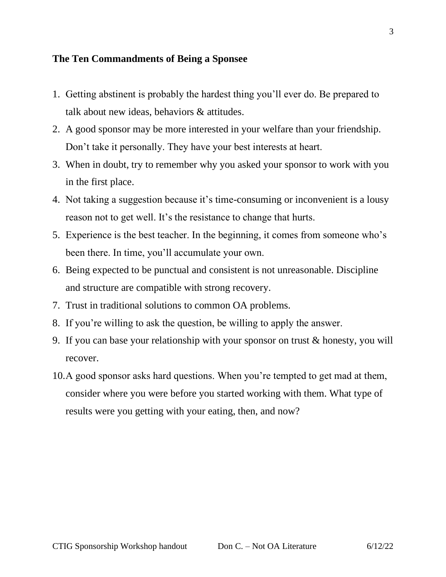### **The Ten Commandments of Being a Sponsee**

- 1. Getting abstinent is probably the hardest thing you'll ever do. Be prepared to talk about new ideas, behaviors & attitudes.
- 2. A good sponsor may be more interested in your welfare than your friendship. Don't take it personally. They have your best interests at heart.
- 3. When in doubt, try to remember why you asked your sponsor to work with you in the first place.
- 4. Not taking a suggestion because it's time-consuming or inconvenient is a lousy reason not to get well. It's the resistance to change that hurts.
- 5. Experience is the best teacher. In the beginning, it comes from someone who's been there. In time, you'll accumulate your own.
- 6. Being expected to be punctual and consistent is not unreasonable. Discipline and structure are compatible with strong recovery.
- 7. Trust in traditional solutions to common OA problems.
- 8. If you're willing to ask the question, be willing to apply the answer.
- 9. If you can base your relationship with your sponsor on trust & honesty, you will recover.
- 10.A good sponsor asks hard questions. When you're tempted to get mad at them, consider where you were before you started working with them. What type of results were you getting with your eating, then, and now?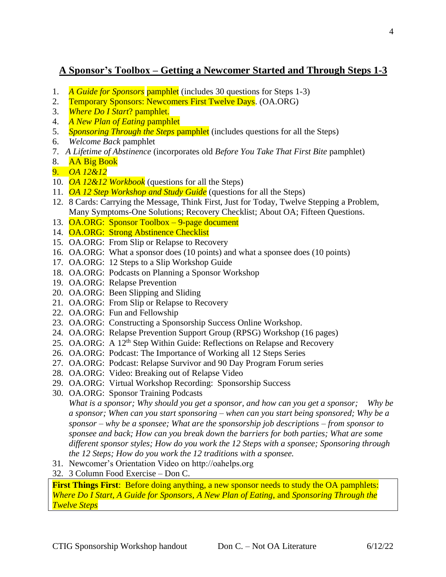# **A Sponsor's Toolbox – Getting a Newcomer Started and Through Steps 1-3**

- 1. *A Guide for Sponsors* pamphlet (includes 30 questions for Steps 1-3)
- 2. Temporary Sponsors: Newcomers First Twelve Days. (OA.ORG)
- 3. *Where Do I Start*? pamphlet.
- 4. *A New Plan of Eating* pamphlet
- 5. *Sponsoring Through the Steps* pamphlet (includes questions for all the Steps)
- 6. *Welcome Back* pamphlet
- 7. *A Lifetime of Abstinence* (incorporates old *Before You Take That First Bite* pamphlet)
- 8. AA Big Book
- 9. *OA 12&12*
- 10. *OA 12&12 Workbook* (questions for all the Steps)
- 11. *OA 12 Step Workshop and Study Guide* (questions for all the Steps)
- 12. 8 Cards: Carrying the Message, Think First, Just for Today, Twelve Stepping a Problem, Many Symptoms-One Solutions; Recovery Checklist; About OA; Fifteen Questions.
- 13. OA.ORG: Sponsor Toolbox 9-page document
- 14. OA.ORG: Strong Abstinence Checklist
- 15. OA.ORG: From Slip or Relapse to Recovery
- 16. OA.ORG: What a sponsor does (10 points) and what a sponsee does (10 points)
- 17. OA.ORG: 12 Steps to a Slip Workshop Guide
- 18. OA.ORG: Podcasts on Planning a Sponsor Workshop
- 19. OA.ORG: Relapse Prevention
- 20. OA.ORG: Been Slipping and Sliding
- 21. OA.ORG: From Slip or Relapse to Recovery
- 22. OA.ORG: Fun and Fellowship
- 23. OA.ORG: Constructing a Sponsorship Success Online Workshop.
- 24. OA.ORG: Relapse Prevention Support Group (RPSG) Workshop (16 pages)
- 25. OA.ORG: A 12th Step Within Guide: Reflections on Relapse and Recovery
- 26. OA.ORG: Podcast: The Importance of Working all 12 Steps Series
- 27. OA.ORG: Podcast: Relapse Survivor and 90 Day Program Forum series
- 28. OA.ORG: Video: Breaking out of Relapse Video
- 29. OA.ORG: Virtual Workshop Recording: Sponsorship Success
- 30. OA.ORG: Sponsor Training Podcasts

*What is a sponsor; Why should you get a sponsor, and how can you get a sponsor; Why be a sponsor; When can you start sponsoring – when can you start being sponsored; Why be a sponsor – why be a sponsee; What are the sponsorship job descriptions – from sponsor to sponsee and back; How can you break down the barriers for both parties; What are some different sponsor styles; How do you work the 12 Steps with a sponsee; Sponsoring through the 12 Steps; How do you work the 12 traditions with a sponsee.*

- 31. Newcomer's Orientation Video on http://oahelps.org
- 32. 3 Column Food Exercise Don C.

**First Things First**: Before doing anything, a new sponsor needs to study the OA pamphlets: *Where Do I Start, A Guide for Sponsors, A New Plan of Eating*, and *Sponsoring Through the Twelve Steps*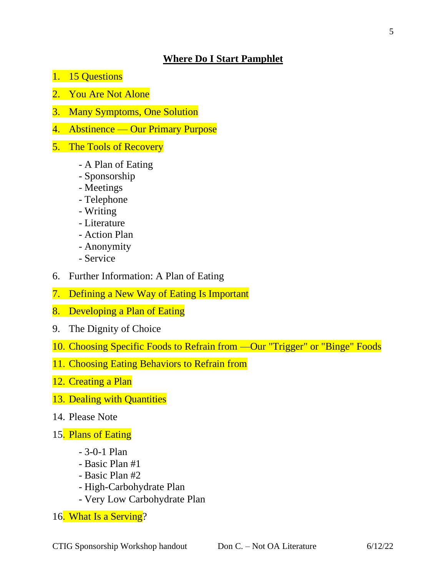# **Where Do I Start Pamphlet**

- 1. 15 Questions
- 2. You Are Not Alone
- 3. Many Symptoms, One Solution
- 4. Abstinence Our Primary Purpose
- 5. The Tools of Recovery
	- A Plan of Eating
	- Sponsorship
	- Meetings
	- Telephone
	- Writing
	- Literature
	- Action Plan
	- Anonymity
	- Service
- 6. Further Information: A Plan of Eating
- 7. Defining a New Way of Eating Is Important
- 8. Developing a Plan of Eating
- 9. The Dignity of Choice
- 10. Choosing Specific Foods to Refrain from —Our "Trigger" or "Binge" Foods
- 11. Choosing Eating Behaviors to Refrain from
- 12. Creating a Plan
- 13. Dealing with Quantities
- 14. Please Note
- 15. Plans of Eating
	- 3-0-1 Plan
	- Basic Plan #1
	- Basic Plan #2
	- High-Carbohydrate Plan
	- Very Low Carbohydrate Plan
- 16. What Is a Serving?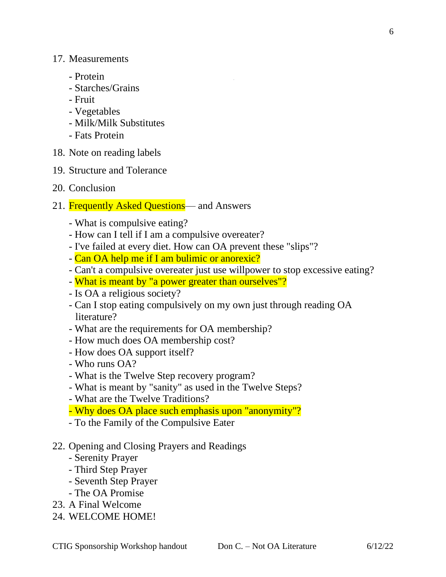- Protein
- Starches/Grains
- Fruit
- Vegetables
- Milk/Milk Substitutes
- Fats Protein
- 18. Note on reading labels
- 19. Structure and Tolerance
- 20. Conclusion
- 21. Frequently Asked Questions— and Answers
	- What is compulsive eating?
	- How can I tell if I am a compulsive overeater?
	- I've failed at every diet. How can OA prevent these "slips"?
	- Can OA help me if I am bulimic or anorexic?
	- Can't a compulsive overeater just use willpower to stop excessive eating?
	- What is meant by "a power greater than ourselves"?
	- Is OA a religious society?
	- Can I stop eating compulsively on my own just through reading OA literature?
	- What are the requirements for OA membership?
	- How much does OA membership cost?
	- How does OA support itself?
	- Who runs OA?
	- What is the Twelve Step recovery program?
	- What is meant by "sanity" as used in the Twelve Steps?
	- What are the Twelve Traditions?
	- Why does OA place such emphasis upon "anonymity"?
	- To the Family of the Compulsive Eater
- 22. Opening and Closing Prayers and Readings
	- Serenity Prayer
	- Third Step Prayer
	- Seventh Step Prayer
	- The OA Promise
- 23. A Final Welcome
- 24. WELCOME HOME!

6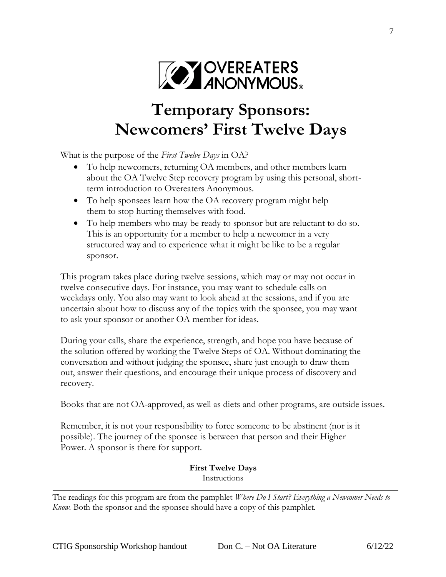

# **Temporary Sponsors: Newcomers' First Twelve Days**

What is the purpose of the *First Twelve Days* in OA?

- To help newcomers, returning OA members, and other members learn about the OA Twelve Step recovery program by using this personal, shortterm introduction to Overeaters Anonymous.
- To help sponsees learn how the OA recovery program might help them to stop hurting themselves with food.
- To help members who may be ready to sponsor but are reluctant to do so. This is an opportunity for a member to help a newcomer in a very structured way and to experience what it might be like to be a regular sponsor.

This program takes place during twelve sessions, which may or may not occur in twelve consecutive days. For instance, you may want to schedule calls on weekdays only. You also may want to look ahead at the sessions, and if you are uncertain about how to discuss any of the topics with the sponsee, you may want to ask your sponsor or another OA member for ideas.

During your calls, share the experience, strength, and hope you have because of the solution offered by working the Twelve Steps of OA. Without dominating the conversation and without judging the sponsee, share just enough to draw them out, answer their questions, and encourage their unique process of discovery and recovery.

Books that are not OA-approved, as well as diets and other programs, are outside issues.

Remember, it is not your responsibility to force someone to be abstinent (nor is it possible). The journey of the sponsee is between that person and their Higher Power. A sponsor is there for support.

#### **First Twelve Days** Instructions

The readings for this program are from the pamphlet *Where Do I Start? Everything a Newcomer Needs to Know.* Both the sponsor and the sponsee should have a copy of this pamphlet.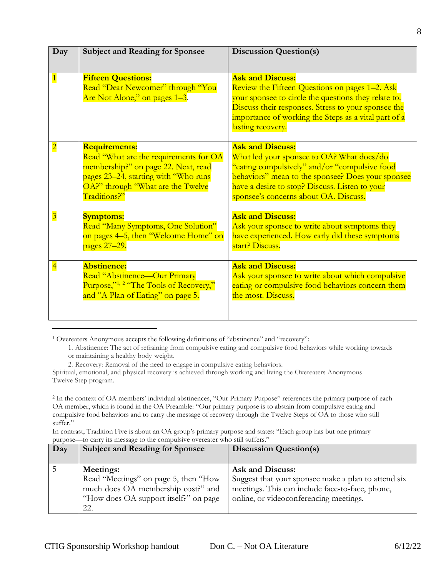| Day                     | <b>Subject and Reading for Sponsee</b>                                                                                                                                                             | <b>Discussion Question(s)</b>                                                                                                                                                                                                                                         |
|-------------------------|----------------------------------------------------------------------------------------------------------------------------------------------------------------------------------------------------|-----------------------------------------------------------------------------------------------------------------------------------------------------------------------------------------------------------------------------------------------------------------------|
| $\vert$ 1               | <b>Fifteen Questions:</b><br>Read "Dear Newcomer" through "You<br>Are Not Alone," on pages 1-3.                                                                                                    | <b>Ask and Discuss:</b><br>Review the Fifteen Questions on pages 1–2. Ask<br>your sponsee to circle the questions they relate to.<br>Discuss their responses. Stress to your sponsee the<br>importance of working the Steps as a vital part of a<br>lasting recovery. |
| $\overline{\mathbf{2}}$ | <b>Requirements:</b><br>Read "What are the requirements for OA<br>membership?" on page 22. Next, read<br>pages 23–24, starting with "Who runs<br>OA?" through "What are the Twelve<br>Traditions?" | <b>Ask and Discuss:</b><br>What led your sponsee to OA? What does/do<br>"eating compulsively" and/or "compulsive food<br>behaviors" mean to the sponsee? Does your sponsee<br>have a desire to stop? Discuss. Listen to your<br>sponsee's concerns about OA. Discuss. |
| $\overline{\mathbf{3}}$ | <b>Symptoms:</b><br>Read "Many Symptoms, One Solution"<br>on pages 4-5, then "Welcome Home" on<br>pages 27-29.                                                                                     | <b>Ask and Discuss:</b><br>Ask your sponsee to write about symptoms they<br>have experienced. How early did these symptoms<br>start? Discuss.                                                                                                                         |
| $\overline{\mathbf{4}}$ | <b>Abstinence:</b><br>Read "Abstinence—Our Primary<br>Purpose," <sup>1, 2</sup> "The Tools of Recovery,"<br>and "A Plan of Eating" on page 5.                                                      | <b>Ask and Discuss:</b><br>Ask your sponsee to write about which compulsive<br>eating or compulsive food behaviors concern them<br>the most. Discuss.                                                                                                                 |

<sup>1</sup> Overeaters Anonymous accepts the following definitions of "abstinence" and "recovery":

1. Abstinence: The act of refraining from compulsive eating and compulsive food behaviors while working towards or maintaining a healthy body weight.

Spiritual, emotional, and physical recovery is achieved through working and living the Overeaters Anonymous Twelve Step program.

<sup>2</sup> In the context of OA members' individual abstinences, "Our Primary Purpose" references the primary purpose of each OA member, which is found in the OA Preamble: "Our primary purpose is to abstain from compulsive eating and compulsive food behaviors and to carry the message of recovery through the Twelve Steps of OA to those who still suffer."

In contrast, Tradition Five is about an OA group's primary purpose and states: "Each group has but one primary purpose—to carry its message to the compulsive overeater who still suffers."

| Day | <b>Subject and Reading for Sponsee</b>                                                                                                         | <b>Discussion Question(s)</b>                                                                                                                                               |
|-----|------------------------------------------------------------------------------------------------------------------------------------------------|-----------------------------------------------------------------------------------------------------------------------------------------------------------------------------|
|     | <b>Meetings:</b><br>Read "Meetings" on page 5, then "How<br>much does OA membership cost?" and<br>"How does OA support itself?" on page<br>22. | <b>Ask and Discuss:</b><br>Suggest that your sponsee make a plan to attend six<br>meetings. This can include face-to-face, phone,<br>online, or videoconferencing meetings. |

<sup>2.</sup> Recovery: Removal of the need to engage in compulsive eating behaviors.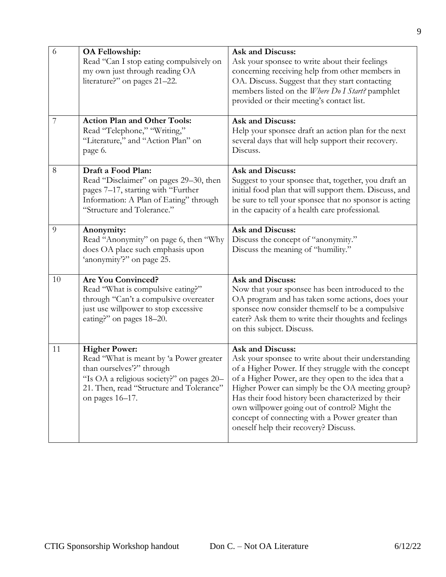| 6  | <b>OA Fellowship:</b><br>Read "Can I stop eating compulsively on<br>my own just through reading OA<br>literature?" on pages 21-22.                                                                       | <b>Ask and Discuss:</b><br>Ask your sponsee to write about their feelings<br>concerning receiving help from other members in<br>OA. Discuss. Suggest that they start contacting<br>members listed on the Where Do I Start? pamphlet<br>provided or their meeting's contact list.                                                                                                                                                              |
|----|----------------------------------------------------------------------------------------------------------------------------------------------------------------------------------------------------------|-----------------------------------------------------------------------------------------------------------------------------------------------------------------------------------------------------------------------------------------------------------------------------------------------------------------------------------------------------------------------------------------------------------------------------------------------|
| 7  | <b>Action Plan and Other Tools:</b><br>Read "Telephone," "Writing,"<br>"Literature," and "Action Plan" on<br>page 6.                                                                                     | Ask and Discuss:<br>Help your sponsee draft an action plan for the next<br>several days that will help support their recovery.<br>Discuss.                                                                                                                                                                                                                                                                                                    |
| 8  | Draft a Food Plan:<br>Read "Disclaimer" on pages 29-30, then<br>pages 7-17, starting with "Further<br>Information: A Plan of Eating" through<br>"Structure and Tolerance."                               | Ask and Discuss:<br>Suggest to your sponsee that, together, you draft an<br>initial food plan that will support them. Discuss, and<br>be sure to tell your sponsee that no sponsor is acting<br>in the capacity of a health care professional.                                                                                                                                                                                                |
| 9  | Anonymity:<br>Read "Anonymity" on page 6, then "Why<br>does OA place such emphasis upon<br>'anonymity'?" on page 25.                                                                                     | Ask and Discuss:<br>Discuss the concept of "anonymity."<br>Discuss the meaning of "humility."                                                                                                                                                                                                                                                                                                                                                 |
| 10 | <b>Are You Convinced?</b><br>Read "What is compulsive eating?"<br>through "Can't a compulsive overeater<br>just use willpower to stop excessive<br>eating?" on pages 18-20.                              | <b>Ask and Discuss:</b><br>Now that your sponsee has been introduced to the<br>OA program and has taken some actions, does your<br>sponsee now consider themself to be a compulsive<br>eater? Ask them to write their thoughts and feelings<br>on this subject. Discuss.                                                                                                                                                                      |
| 11 | <b>Higher Power:</b><br>Read "What is meant by 'a Power greater<br>than ourselves'?" through<br>"Is OA a religious society?" on pages 20-<br>21. Then, read "Structure and Tolerance"<br>on pages 16-17. | Ask and Discuss:<br>Ask your sponsee to write about their understanding<br>of a Higher Power. If they struggle with the concept<br>of a Higher Power, are they open to the idea that a<br>Higher Power can simply be the OA meeting group?<br>Has their food history been characterized by their<br>own willpower going out of control? Might the<br>concept of connecting with a Power greater than<br>oneself help their recovery? Discuss. |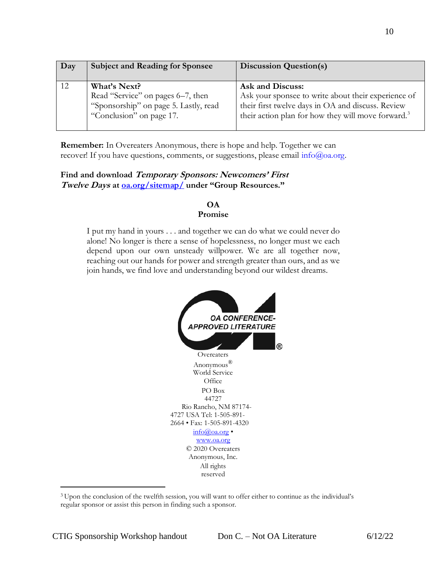| Day | <b>Subject and Reading for Sponsee</b>                                                                                 | <b>Discussion Question(s)</b>                                                                                                                                                                  |
|-----|------------------------------------------------------------------------------------------------------------------------|------------------------------------------------------------------------------------------------------------------------------------------------------------------------------------------------|
|     | What's Next?<br>Read "Service" on pages 6–7, then<br>"Sponsorship" on page 5. Lastly, read<br>"Conclusion" on page 17. | Ask and Discuss:<br>Ask your sponsee to write about their experience of<br>their first twelve days in OA and discuss. Review<br>their action plan for how they will move forward. <sup>3</sup> |

**Remember:** In Overeaters Anonymous, there is hope and help. Together we can recover! If you have questions, comments, or suggestions, please email [info@oa.org.](mailto:info@oa.org)

#### **Find and download Temporary Sponsors: Newcomers' First Twelve Days at [oa.org/sitemap/](https://oa.org/sitemap/) under "Group Resources."**

#### **OA**

#### **Promise**

I put my hand in yours . . . and together we can do what we could never do alone! No longer is there a sense of hopelessness, no longer must we each depend upon our own unsteady willpower. We are all together now, reaching out our hands for power and strength greater than ours, and as we join hands, we find love and understanding beyond our wildest dreams.



<sup>3</sup>Upon the conclusion of the twelfth session, you will want to offer either to continue as the individual's regular sponsor or assist this person in finding such a sponsor.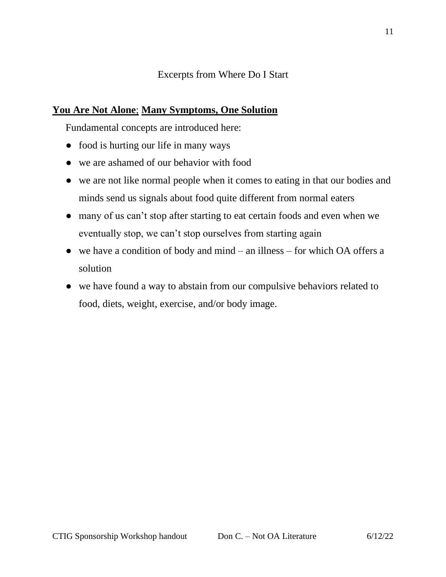# Excerpts from Where Do I Start

# **You Are Not Alone**; **Many Symptoms, One Solution**

Fundamental concepts are introduced here:

- food is hurting our life in many ways
- we are ashamed of our behavior with food
- we are not like normal people when it comes to eating in that our bodies and minds send us signals about food quite different from normal eaters
- many of us can't stop after starting to eat certain foods and even when we eventually stop, we can't stop ourselves from starting again
- $\bullet$  we have a condition of body and mind an illness for which OA offers a solution
- we have found a way to abstain from our compulsive behaviors related to food, diets, weight, exercise, and/or body image.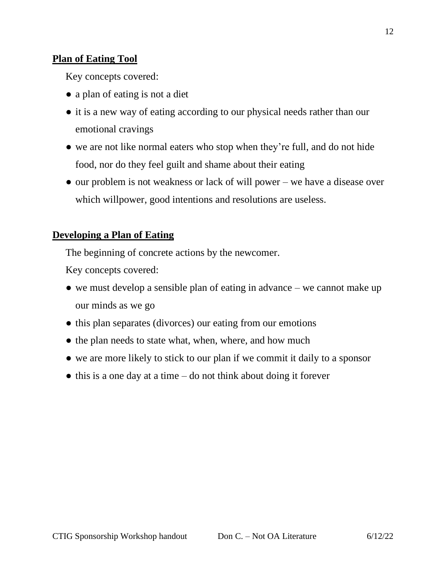# **Plan of Eating Tool**

Key concepts covered:

- a plan of eating is not a diet
- it is a new way of eating according to our physical needs rather than our emotional cravings
- we are not like normal eaters who stop when they're full, and do not hide food, nor do they feel guilt and shame about their eating
- our problem is not weakness or lack of will power we have a disease over which willpower, good intentions and resolutions are useless.

# **Developing a Plan of Eating**

The beginning of concrete actions by the newcomer.

Key concepts covered:

- $\bullet$  we must develop a sensible plan of eating in advance we cannot make up our minds as we go
- this plan separates (divorces) our eating from our emotions
- the plan needs to state what, when, where, and how much
- we are more likely to stick to our plan if we commit it daily to a sponsor
- $\bullet$  this is a one day at a time do not think about doing it forever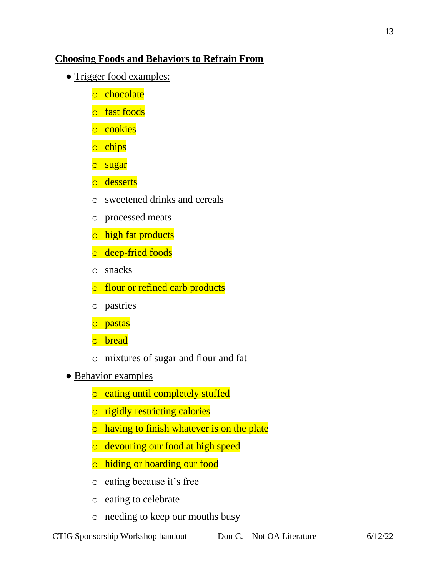# **Choosing Foods and Behaviors to Refrain From**

- Trigger food examples:
	- o chocolate
	- o fast foods
	- o cookies
	- o chips
	- o sugar
	- o desserts
	- o sweetened drinks and cereals
	- o processed meats
	- o high fat products
	- o deep-fried foods
	- o snacks
	- o flour or refined carb products
	- o pastries
	- o pastas
	- o bread
	- o mixtures of sugar and flour and fat
- Behavior examples
	- o eating until completely stuffed
	- o rigidly restricting calories
	- o having to finish whatever is on the plate
	- o devouring our food at high speed
	- o hiding or hoarding our food
	- o eating because it's free
	- o eating to celebrate
	- o needing to keep our mouths busy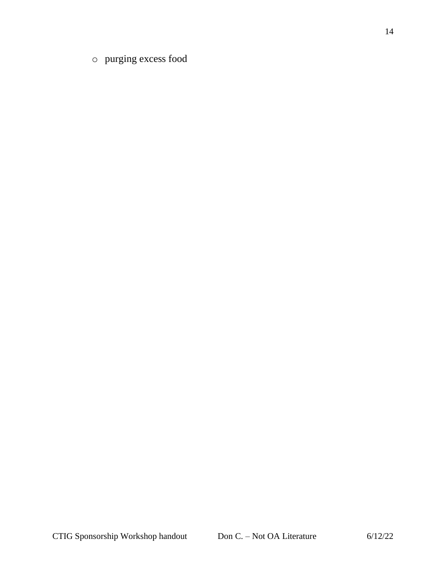o purging excess food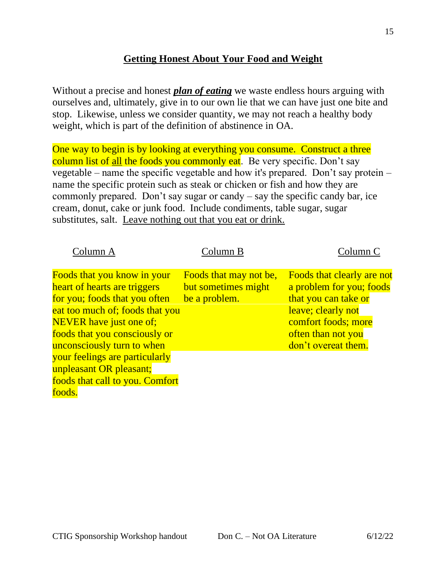# **Getting Honest About Your Food and Weight**

Without a precise and honest *plan of eating* we waste endless hours arguing with ourselves and, ultimately, give in to our own lie that we can have just one bite and stop. Likewise, unless we consider quantity, we may not reach a healthy body weight, which is part of the definition of abstinence in OA.

One way to begin is by looking at everything you consume. Construct a three column list of all the foods you commonly eat. Be very specific. Don't say vegetable – name the specific vegetable and how it's prepared. Don't say protein – name the specific protein such as steak or chicken or fish and how they are commonly prepared. Don't say sugar or candy – say the specific candy bar, ice cream, donut, cake or junk food. Include condiments, table sugar, sugar substitutes, salt. Leave nothing out that you eat or drink.

| Column A                                                                                                                                                                                                                         | Column B                                                       | Column C                                                                                                                                                                 |
|----------------------------------------------------------------------------------------------------------------------------------------------------------------------------------------------------------------------------------|----------------------------------------------------------------|--------------------------------------------------------------------------------------------------------------------------------------------------------------------------|
| Foods that you know in your<br>heart of hearts are triggers<br>for you; foods that you often<br>eat too much of; foods that you<br><b>NEVER</b> have just one of;<br>foods that you consciously or<br>unconsciously turn to when | Foods that may not be,<br>but sometimes might<br>be a problem. | Foods that clearly are not<br>a problem for you; foods<br>that you can take or<br>leave; clearly not<br>comfort foods; more<br>often than not you<br>don't overeat them. |
| your feelings are particularly<br>unpleasant OR pleasant;<br>foods that call to you. Comfort<br>foods.                                                                                                                           |                                                                |                                                                                                                                                                          |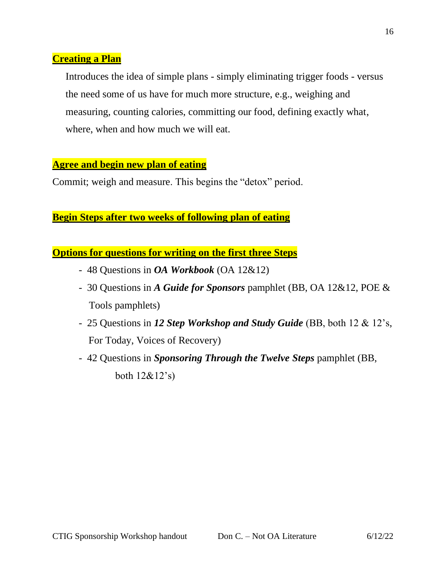# **Creating a Plan**

Introduces the idea of simple plans - simply eliminating trigger foods - versus the need some of us have for much more structure, e.g., weighing and measuring, counting calories, committing our food, defining exactly what, where, when and how much we will eat.

### **Agree and begin new plan of eating**

Commit; weigh and measure. This begins the "detox" period.

# **Begin Steps after two weeks of following plan of eating**

**Options for questions for writing on the first three Steps**

- 48 Questions in *OA Workbook* (OA 12&12)
- 30 Questions in *A Guide for Sponsors* pamphlet (BB, OA 12&12, POE & Tools pamphlets)
- 25 Questions in *12 Step Workshop and Study Guide* (BB, both 12 & 12's, For Today, Voices of Recovery)
- 42 Questions in *Sponsoring Through the Twelve Steps* pamphlet (BB, both 12&12's)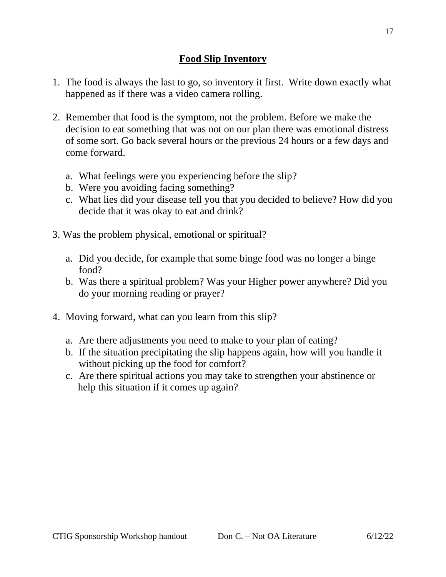- 1. The food is always the last to go, so inventory it first. Write down exactly what happened as if there was a video camera rolling.
- 2. Remember that food is the symptom, not the problem. Before we make the decision to eat something that was not on our plan there was emotional distress of some sort. Go back several hours or the previous 24 hours or a few days and come forward.
	- a. What feelings were you experiencing before the slip?
	- b. Were you avoiding facing something?
	- c. What lies did your disease tell you that you decided to believe? How did you decide that it was okay to eat and drink?
- 3. Was the problem physical, emotional or spiritual?
	- a. Did you decide, for example that some binge food was no longer a binge food?
	- b. Was there a spiritual problem? Was your Higher power anywhere? Did you do your morning reading or prayer?
- 4. Moving forward, what can you learn from this slip?
	- a. Are there adjustments you need to make to your plan of eating?
	- b. If the situation precipitating the slip happens again, how will you handle it without picking up the food for comfort?
	- c. Are there spiritual actions you may take to strengthen your abstinence or help this situation if it comes up again?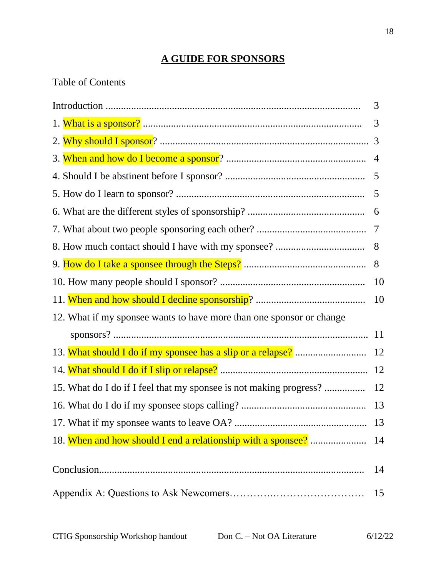# **A GUIDE FOR SPONSORS**

# Table of Contents

|                                                                      | 3  |
|----------------------------------------------------------------------|----|
|                                                                      | 3  |
|                                                                      |    |
|                                                                      |    |
|                                                                      |    |
|                                                                      |    |
|                                                                      |    |
|                                                                      |    |
|                                                                      |    |
|                                                                      | 8  |
|                                                                      | 10 |
|                                                                      | 10 |
| 12. What if my sponsee wants to have more than one sponsor or change |    |
|                                                                      |    |
|                                                                      | 12 |
|                                                                      | 12 |
| 15. What do I do if I feel that my sponsee is not making progress?   | 12 |
|                                                                      | 13 |
|                                                                      |    |
|                                                                      |    |
|                                                                      |    |
|                                                                      | 14 |
|                                                                      | 15 |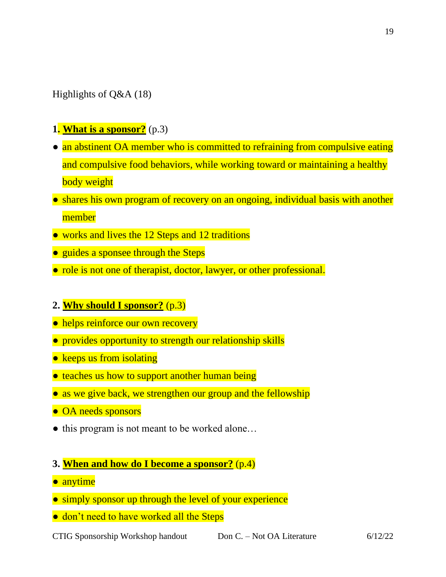Highlights of Q&A (18)

- **1. What is a sponsor?** (p.3)
- an abstinent OA member who is committed to refraining from compulsive eating and compulsive food behaviors, while working toward or maintaining a healthy body weight
- shares his own program of recovery on an ongoing, individual basis with another member
- works and lives the 12 Steps and 12 traditions
- guides a sponsee through the Steps
- role is not one of therapist, doctor, lawyer, or other professional.
- **2. Why should I sponsor?** (p.3)
- helps reinforce our own recovery
- provides opportunity to strength our relationship skills
- keeps us from isolating
- teaches us how to support another human being
- as we give back, we strengthen our group and the fellowship
- OA needs sponsors
- this program is not meant to be worked alone...
- **3. When and how do I become a sponsor?** (p.4)
- **•** anytime
- simply sponsor up through the level of your experience
- don't need to have worked all the Steps

CTIG Sponsorship Workshop handout Don C. – Not OA Literature 6/12/22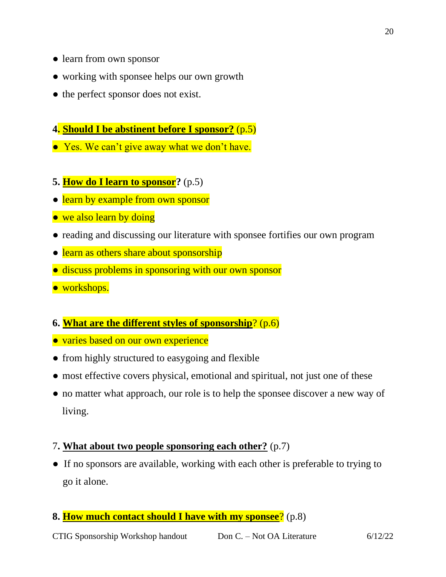- learn from own sponsor
- working with sponsee helps our own growth
- the perfect sponsor does not exist.
- **4. Should I be abstinent before I sponsor?** (p.5)
- Yes. We can't give away what we don't have.
- **5. How do I learn to sponsor?** (p.5)
- learn by example from own sponsor
- we also learn by doing
- reading and discussing our literature with sponsee fortifies our own program
- learn as others share about sponsorship
- discuss problems in sponsoring with our own sponsor
- workshops.
- **6. What are the different styles of sponsorship**? (p.6)
- varies based on our own experience
- from highly structured to easygoing and flexible
- most effective covers physical, emotional and spiritual, not just one of these
- no matter what approach, our role is to help the sponsee discover a new way of living.

### 7**. What about two people sponsoring each other?** (p.7)

- If no sponsors are available, working with each other is preferable to trying to go it alone.
- **8. How much contact should I have with my sponsee**? (p.8)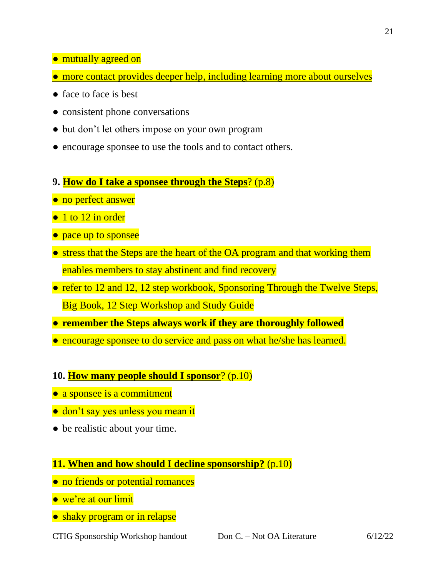- mutually agreed on
- more contact provides deeper help, including learning more about ourselves
- face to face is best
- consistent phone conversations
- but don't let others impose on your own program
- encourage sponsee to use the tools and to contact others.
- **9. How do I take a sponsee through the Steps**? (p.8)
- no perfect answer
- 1 to 12 in order
- pace up to sponsee
- stress that the Steps are the heart of the OA program and that working them enables members to stay abstinent and find recovery
- refer to 12 and 12, 12 step workbook, Sponsoring Through the Twelve Steps, Big Book, 12 Step Workshop and Study Guide
- **remember the Steps always work if they are thoroughly followed**
- encourage sponsee to do service and pass on what he/she has learned.
- **10. How many people should I sponsor**? (p.10)
- a sponsee is a commitment
- don't say yes unless you mean it
- be realistic about your time.

### **11. When and how should I decline sponsorship?** (p.10)

- no friends or potential romances
- we're at our limit
- shaky program or in relapse

CTIG Sponsorship Workshop handout Don C. – Not OA Literature 6/12/22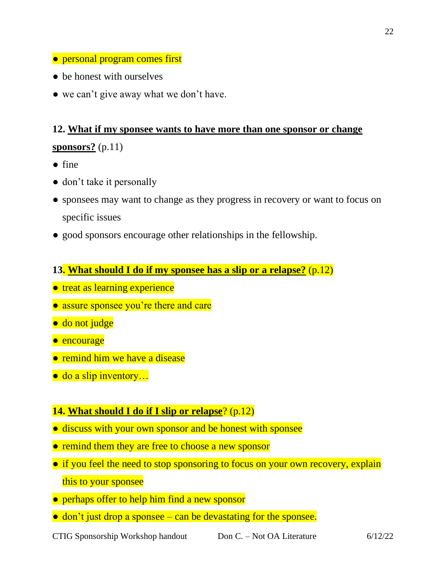- personal program comes first
- be honest with ourselves
- we can't give away what we don't have.

# **12. What if my sponsee wants to have more than one sponsor or change sponsors?** (p.11)

- fine
- don't take it personally
- sponsees may want to change as they progress in recovery or want to focus on specific issues
- good sponsors encourage other relationships in the fellowship.
- **13. What should I do if my sponsee has a slip or a relapse?** (p.12)
- treat as learning experience
- assure sponsee you're there and care
- do not judge
- encourage
- remind him we have a disease
- do a slip inventory...

# **14. What should I do if I slip or relapse**? (p.12)

- discuss with your own sponsor and be honest with sponsee
- remind them they are free to choose a new sponsor
- if you feel the need to stop sponsoring to focus on your own recovery, explain this to your sponsee
- perhaps offer to help him find a new sponsor
- don't just drop a sponsee can be devastating for the sponsee.

CTIG Sponsorship Workshop handout Don C. – Not OA Literature 6/12/22

22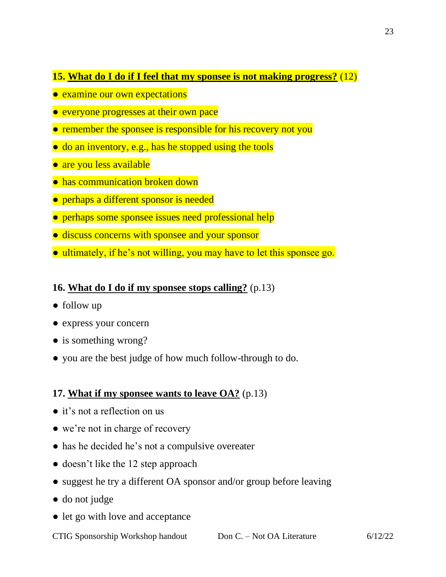# **15. What do I do if I feel that my sponsee is not making progress?** (12)

- examine our own expectations
- everyone progresses at their own pace
- remember the sponsee is responsible for his recovery not you
- do an inventory, e.g., has he stopped using the tools
- are you less available
- has communication broken down
- perhaps a different sponsor is needed
- perhaps some sponsee issues need professional help
- discuss concerns with sponsee and your sponsor
- ultimately, if he's not willing, you may have to let this sponsee go.

### **16. What do I do if my sponsee stops calling?** (p.13)

- follow up
- express your concern
- is something wrong?
- you are the best judge of how much follow-through to do.

# **17. What if my sponsee wants to leave OA?** (p.13)

- it's not a reflection on us
- we're not in charge of recovery
- has he decided he's not a compulsive overeater
- doesn't like the 12 step approach
- suggest he try a different OA sponsor and/or group before leaving
- do not judge
- let go with love and acceptance

CTIG Sponsorship Workshop handout Don C. – Not OA Literature 6/12/22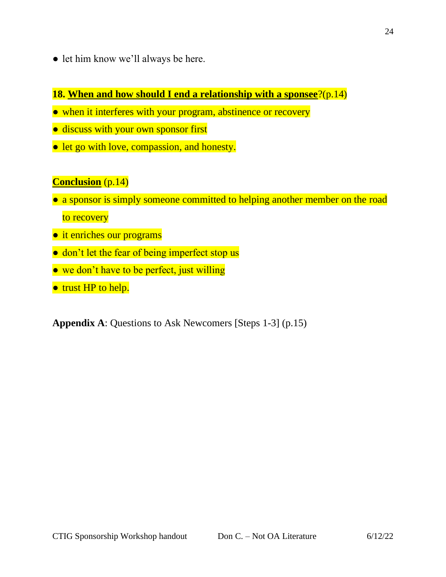● let him know we'll always be here.

# **18. When and how should I end a relationship with a sponsee**?(p.14)

- when it interferes with your program, abstinence or recovery
- discuss with your own sponsor first
- let go with love, compassion, and honesty.

# **Conclusion** (p.14)

- a sponsor is simply someone committed to helping another member on the road to recovery
- it enriches our programs
- don't let the fear of being imperfect stop us
- we don't have to be perfect, just willing
- trust HP to help.

**Appendix A**: Questions to Ask Newcomers [Steps 1-3] (p.15)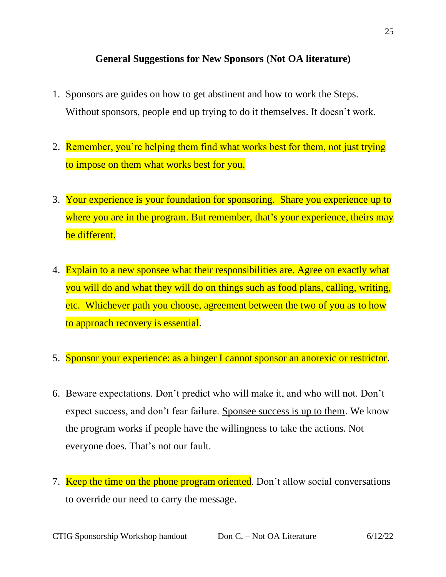# **General Suggestions for New Sponsors (Not OA literature)**

- 1. Sponsors are guides on how to get abstinent and how to work the Steps. Without sponsors, people end up trying to do it themselves. It doesn't work.
- 2. Remember, you're helping them find what works best for them, not just trying to impose on them what works best for you.
- 3. Your experience is your foundation for sponsoring. Share you experience up to where you are in the program. But remember, that's your experience, theirs may be different.
- 4. Explain to a new sponsee what their responsibilities are. Agree on exactly what you will do and what they will do on things such as food plans, calling, writing, etc. Whichever path you choose, agreement between the two of you as to how to approach recovery is essential.
- 5. Sponsor your experience: as a binger I cannot sponsor an anorexic or restrictor.
- 6. Beware expectations. Don't predict who will make it, and who will not. Don't expect success, and don't fear failure. Sponsee success is up to them. We know the program works if people have the willingness to take the actions. Not everyone does. That's not our fault.
- 7. Keep the time on the phone program oriented. Don't allow social conversations to override our need to carry the message.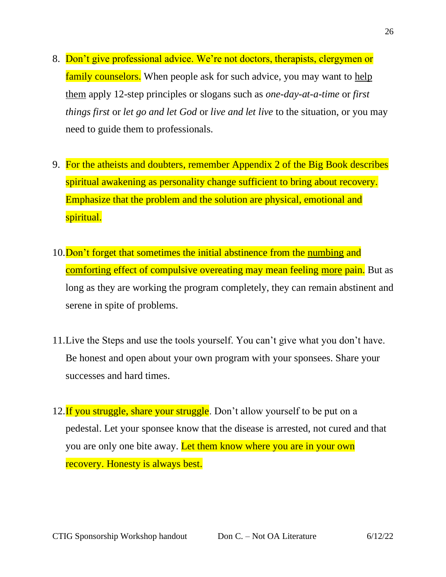- 8. Don't give professional advice. We're not doctors, therapists, clergymen or family counselors. When people ask for such advice, you may want to help them apply 12-step principles or slogans such as *one-day-at-a-time* or *first things first* or *let go and let God* or *live and let live* to the situation, or you may need to guide them to professionals.
- 9. For the atheists and doubters, remember Appendix 2 of the Big Book describes spiritual awakening as personality change sufficient to bring about recovery. Emphasize that the problem and the solution are physical, emotional and spiritual.
- 10. Don't forget that sometimes the initial abstinence from the numbing and comforting effect of compulsive overeating may mean feeling more pain. But as long as they are working the program completely, they can remain abstinent and serene in spite of problems.
- 11.Live the Steps and use the tools yourself. You can't give what you don't have. Be honest and open about your own program with your sponsees. Share your successes and hard times.
- 12. If you struggle, share your struggle. Don't allow yourself to be put on a pedestal. Let your sponsee know that the disease is arrested, not cured and that you are only one bite away. Let them know where you are in your own recovery. Honesty is always best.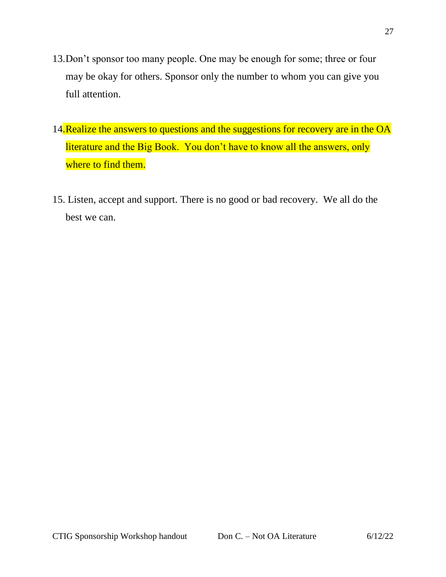- 13.Don't sponsor too many people. One may be enough for some; three or four may be okay for others. Sponsor only the number to whom you can give you full attention.
- 14. Realize the answers to questions and the suggestions for recovery are in the OA literature and the Big Book. You don't have to know all the answers, only where to find them.
- 15. Listen, accept and support. There is no good or bad recovery. We all do the best we can.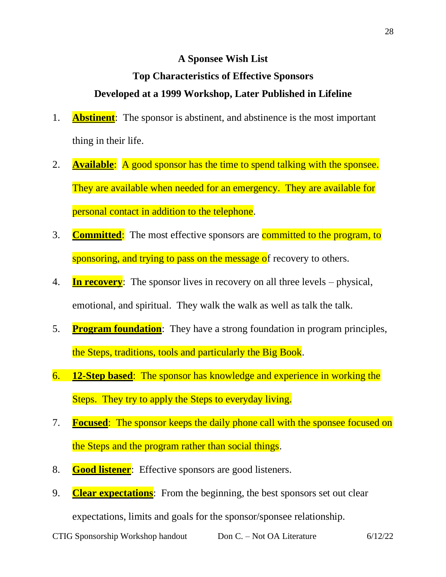### **A Sponsee Wish List**

# **Top Characteristics of Effective Sponsors Developed at a 1999 Workshop, Later Published in Lifeline**

- 1. **Abstinent**: The sponsor is abstinent, and abstinence is the most important thing in their life.
- 2. **Available**: A good sponsor has the time to spend talking with the sponsee. They are available when needed for an emergency. They are available for personal contact in addition to the telephone.
- 3. **Committed**: The most effective sponsors are committed to the program, to sponsoring, and trying to pass on the message of recovery to others.
- 4. **In recovery**: The sponsor lives in recovery on all three levels physical, emotional, and spiritual. They walk the walk as well as talk the talk.
- 5. **Program foundation**: They have a strong foundation in program principles, the Steps, traditions, tools and particularly the Big Book.
- 6. **12-Step based**: The sponsor has knowledge and experience in working the Steps. They try to apply the Steps to everyday living.
- 7. **Focused**: The sponsor keeps the daily phone call with the sponsee focused on the Steps and the program rather than social things.
- 8. **Good listener**: Effective sponsors are good listeners.
- 9. **Clear expectations**: From the beginning, the best sponsors set out clear

expectations, limits and goals for the sponsor/sponsee relationship.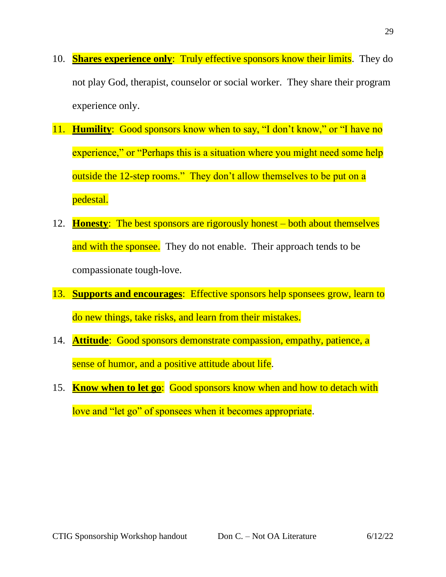- 10. **Shares experience only**: Truly effective sponsors know their limits. They do not play God, therapist, counselor or social worker. They share their program experience only.
- 11. **Humility**: Good sponsors know when to say, "I don't know," or "I have no experience," or "Perhaps this is a situation where you might need some help outside the 12-step rooms." They don't allow themselves to be put on a pedestal.
- 12. **Honesty**: The best sponsors are rigorously honest both about themselves and with the sponsee. They do not enable. Their approach tends to be compassionate tough-love.
- 13. **Supports and encourages**: Effective sponsors help sponsees grow, learn to do new things, take risks, and learn from their mistakes.
- 14. **Attitude**: Good sponsors demonstrate compassion, empathy, patience, a sense of humor, and a positive attitude about life.
- 15. **Know when to let go**: Good sponsors know when and how to detach with love and "let go" of sponsees when it becomes appropriate.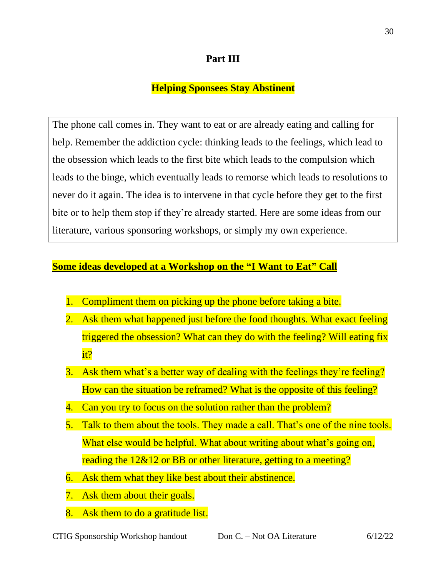# **Part III**

# **Helping Sponsees Stay Abstinent**

The phone call comes in. They want to eat or are already eating and calling for help. Remember the addiction cycle: thinking leads to the feelings, which lead to the obsession which leads to the first bite which leads to the compulsion which leads to the binge, which eventually leads to remorse which leads to resolutions to never do it again. The idea is to intervene in that cycle before they get to the first bite or to help them stop if they're already started. Here are some ideas from our literature, various sponsoring workshops, or simply my own experience.

### **Some ideas developed at a Workshop on the "I Want to Eat" Call**

- 1. Compliment them on picking up the phone before taking a bite.
- 2. Ask them what happened just before the food thoughts. What exact feeling triggered the obsession? What can they do with the feeling? Will eating fix it?
- 3. Ask them what's a better way of dealing with the feelings they're feeling? How can the situation be reframed? What is the opposite of this feeling?
- 4. Can you try to focus on the solution rather than the problem?
- 5. Talk to them about the tools. They made a call. That's one of the nine tools. What else would be helpful. What about writing about what's going on, reading the 12&12 or BB or other literature, getting to a meeting?
- 6. Ask them what they like best about their abstinence.
- 7. Ask them about their goals.
- 8. Ask them to do a gratitude list.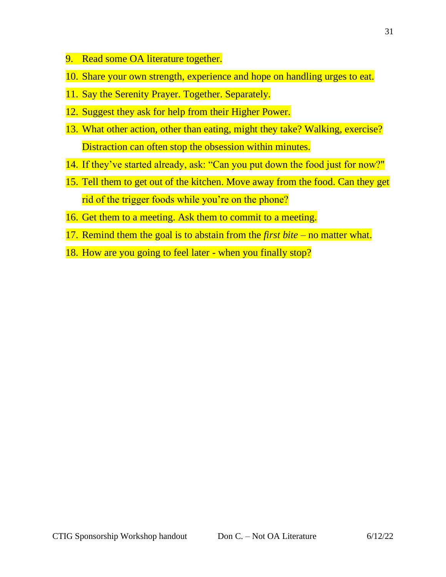- 9. Read some OA literature together.
- 10. Share your own strength, experience and hope on handling urges to eat.
- 11. Say the Serenity Prayer. Together. Separately.
- 12. Suggest they ask for help from their Higher Power.
- 13. What other action, other than eating, might they take? Walking, exercise? Distraction can often stop the obsession within minutes.
- 14. If they've started already, ask: "Can you put down the food just for now?"
- 15. Tell them to get out of the kitchen. Move away from the food. Can they get rid of the trigger foods while you're on the phone?
- 16. Get them to a meeting. Ask them to commit to a meeting.
- 17. Remind them the goal is to abstain from the *first bite* no matter what.
- 18. How are you going to feel later when you finally stop?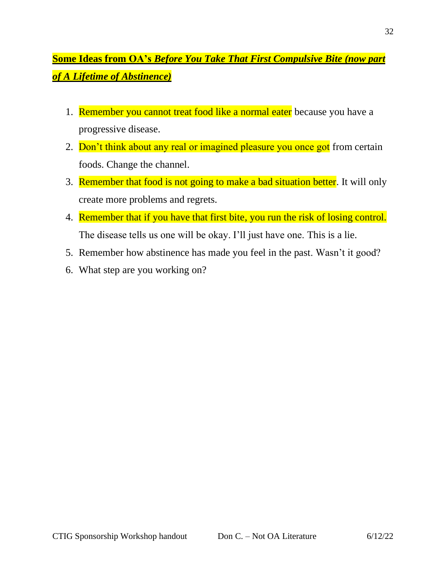# **Some Ideas from OA's** *Before You Take That First Compulsive Bite (now part of A Lifetime of Abstinence)*

- 1. Remember you cannot treat food like a normal eater because you have a progressive disease.
- 2. Don't think about any real or imagined pleasure you once got from certain foods. Change the channel.
- 3. Remember that food is not going to make a bad situation better. It will only create more problems and regrets.
- 4. Remember that if you have that first bite, you run the risk of losing control. The disease tells us one will be okay. I'll just have one. This is a lie.
- 5. Remember how abstinence has made you feel in the past. Wasn't it good?
- 6. What step are you working on?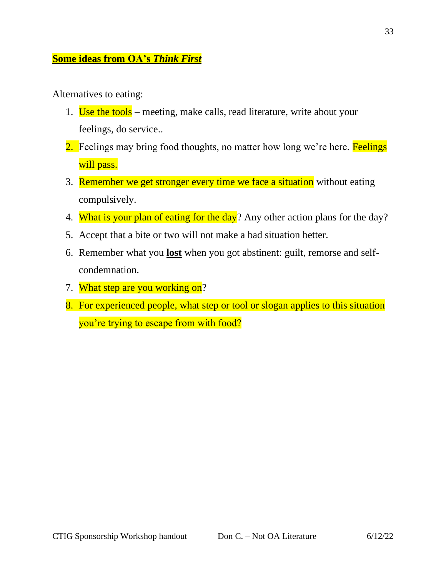# **Some ideas from OA's** *Think First*

Alternatives to eating:

- 1. Use the tools meeting, make calls, read literature, write about your feelings, do service..
- 2. Feelings may bring food thoughts, no matter how long we're here. Feelings will pass.
- 3. Remember we get stronger every time we face a situation without eating compulsively.
- 4. What is your plan of eating for the day? Any other action plans for the day?
- 5. Accept that a bite or two will not make a bad situation better.
- 6. Remember what you **lost** when you got abstinent: guilt, remorse and selfcondemnation.
- 7. What step are you working on?
- 8. For experienced people, what step or tool or slogan applies to this situation you're trying to escape from with food?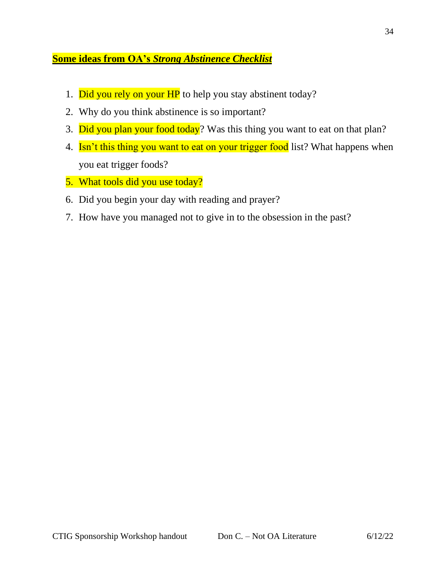# **Some ideas from OA's** *Strong Abstinence Checklist*

- 1. Did you rely on your HP to help you stay abstinent today?
- 2. Why do you think abstinence is so important?
- 3. Did you plan your food today? Was this thing you want to eat on that plan?
- 4. Isn't this thing you want to eat on your trigger food list? What happens when you eat trigger foods?
- 5. What tools did you use today?
- 6. Did you begin your day with reading and prayer?
- 7. How have you managed not to give in to the obsession in the past?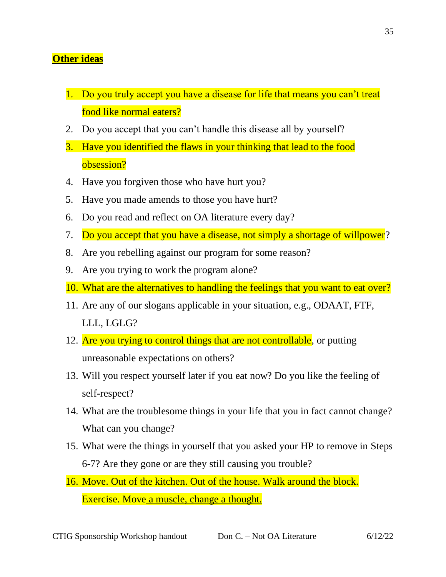# **Other ideas**

- 1. Do you truly accept you have a disease for life that means you can't treat food like normal eaters?
- 2. Do you accept that you can't handle this disease all by yourself?
- 3. Have you identified the flaws in your thinking that lead to the food obsession?
- 4. Have you forgiven those who have hurt you?
- 5. Have you made amends to those you have hurt?
- 6. Do you read and reflect on OA literature every day?
- 7. Do you accept that you have a disease, not simply a shortage of willpower?
- 8. Are you rebelling against our program for some reason?
- 9. Are you trying to work the program alone?
- 10. What are the alternatives to handling the feelings that you want to eat over?
- 11. Are any of our slogans applicable in your situation, e.g., ODAAT, FTF, LLL, LGLG?
- 12. Are you trying to control things that are not controllable, or putting unreasonable expectations on others?
- 13. Will you respect yourself later if you eat now? Do you like the feeling of self-respect?
- 14. What are the troublesome things in your life that you in fact cannot change? What can you change?
- 15. What were the things in yourself that you asked your HP to remove in Steps 6-7? Are they gone or are they still causing you trouble?
- 16. Move. Out of the kitchen. Out of the house. Walk around the block. Exercise. Move a muscle, change a thought.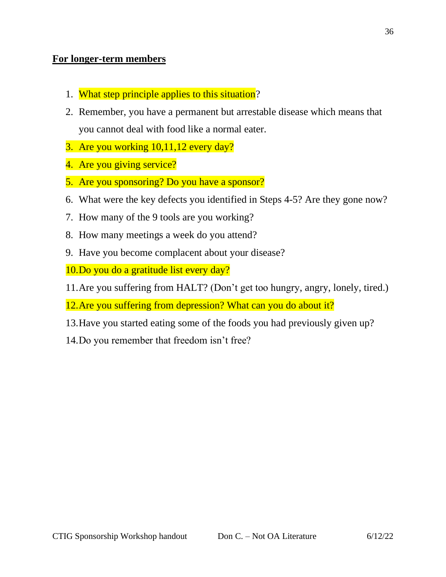# **For longer-term members**

- 1. What step principle applies to this situation?
- 2. Remember, you have a permanent but arrestable disease which means that you cannot deal with food like a normal eater.
- 3. Are you working 10,11,12 every day?
- 4. Are you giving service?
- 5. Are you sponsoring? Do you have a sponsor?
- 6. What were the key defects you identified in Steps 4-5? Are they gone now?
- 7. How many of the 9 tools are you working?
- 8. How many meetings a week do you attend?
- 9. Have you become complacent about your disease?
- 10.Do you do a gratitude list every day?
- 11.Are you suffering from HALT? (Don't get too hungry, angry, lonely, tired.)
- 12.Are you suffering from depression? What can you do about it?
- 13.Have you started eating some of the foods you had previously given up?
- 14.Do you remember that freedom isn't free?